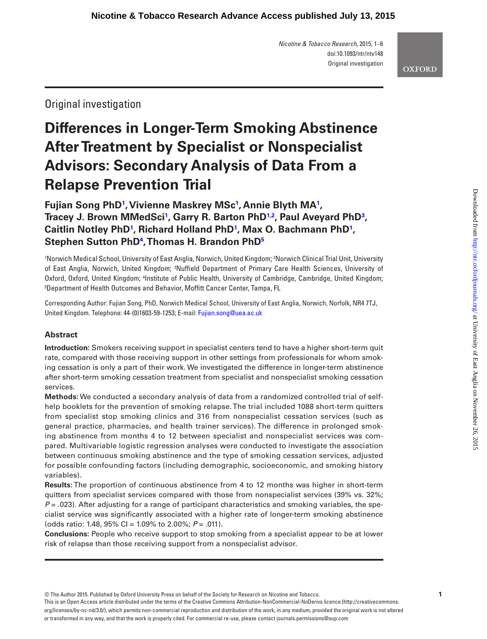*Nicotine & Tobacco Research*, 2015, 1–6 doi:10.1093/ntr/ntv148 Original investigation

**OXFORD** 

Original investigation

# **Differences in Longer-Term Smoking Abstinence After Treatment by Specialist or Nonspecialist Advisors: Secondary Analysis of Data From a Relapse Prevention Trial**

**Fujian Song Ph[D1](#page-0-0) , Vivienne Maskrey MSc[1](#page-0-0) , Annie Blyth M[A1](#page-0-0) , Tracey J. Brown MMedSc[i1](#page-0-0) , Garry R. Barton Ph[D1](#page-0-0),[2](#page-0-1) , Paul Aveyard Ph[D3](#page-0-2) , Caitlin Notley Ph[D1](#page-0-0) , Richard Holland Ph[D1](#page-0-0) , Max O. Bachmann Ph[D1](#page-0-0) , Stephen Sutton Ph[D4](#page-0-3) , Thomas H. Brandon Ph[D5](#page-0-4)**

<span id="page-0-3"></span><span id="page-0-2"></span><span id="page-0-1"></span><span id="page-0-0"></span>1 Norwich Medical School, University of East Anglia, Norwich, United Kingdom; 2 Norwich Clinical Trial Unit, University of East Anglia, Norwich, United Kingdom; <sup>3</sup>Nuffield Department of Primary Care Health Sciences, University of Oxford, Oxford, United Kingdom; <sup>4</sup>Institute of Public Health, University of Cambridge, Cambridge, United Kingdom; 5 Department of Health Outcomes and Behavior, Moffitt Cancer Center, Tampa, FL

<span id="page-0-4"></span>Corresponding Author: Fujian Song, PhD, Norwich Medical School, University of East Anglia, Norwich, Norfolk, NR4 7TJ, United Kingdom. Telephone: 44-(0)1603-59-1253; E-mail: [Fujian.song@uea.ac.uk](mailto:Fujian.song@uea.ac.uk?subject=)

## **Abstract**

**Introduction:** Smokers receiving support in specialist centers tend to have a higher short-term quit rate, compared with those receiving support in other settings from professionals for whom smoking cessation is only a part of their work. We investigated the difference in longer-term abstinence after short-term smoking cessation treatment from specialist and nonspecialist smoking cessation services.

**Methods:** We conducted a secondary analysis of data from a randomized controlled trial of selfhelp booklets for the prevention of smoking relapse. The trial included 1088 short-term quitters from specialist stop smoking clinics and 316 from nonspecialist cessation services (such as general practice, pharmacies, and health trainer services). The difference in prolonged smoking abstinence from months 4 to 12 between specialist and nonspecialist services was compared. Multivariable logistic regression analyses were conducted to investigate the association between continuous smoking abstinence and the type of smoking cessation services, adjusted for possible confounding factors (including demographic, socioeconomic, and smoking history variables).

**Results:** The proportion of continuous abstinence from 4 to 12 months was higher in short-term quitters from specialist services compared with those from nonspecialist services (39% vs. 32%; *P* = .023). After adjusting for a range of participant characteristics and smoking variables, the specialist service was significantly associated with a higher rate of longer-term smoking abstinence (odds ratio: 1.48, 95% CI = 1.09% to 2.00%; *P* = .011).

**Conclusions:** People who receive support to stop smoking from a specialist appear to be at lower risk of relapse than those receiving support from a nonspecialist advisor.

This is an Open Access article distributed under the terms of the Creative Commons Attribution-NonCommercial-NoDerivs licence (http://creativecommons. org/licenses/by-nc-nd/3.0/), which permits non-commercial reproduction and distribution of the work, in any medium, provided the original work is not altered or transformed in any way, and that the work is properly cited. For commercial re-use, please contact journals.permissions@oup.com

<sup>©</sup> The Author 2015. Published by Oxford University Press on behalf of the Society for Research on Nicotine and Tobacco. **1**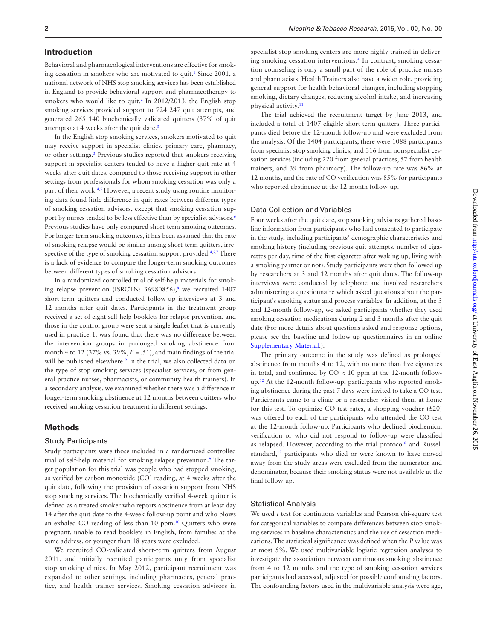#### **Introduction**

Behavioral and pharmacological interventions are effective for smok-ing cessation in smokers who are motivated to quit.<sup>[1](#page-5-0)</sup> Since 2001, a national network of NHS stop smoking services has been established in England to provide behavioral support and pharmacotherapy to smokers who would like to quit.<sup>2</sup> In 2012/2013, the English stop smoking services provided support to 724 247 quit attempts, and generated 265 140 biochemically validated quitters (37% of quit attempts) at 4 weeks after the quit date.[3](#page-5-2)

In the English stop smoking services, smokers motivated to quit may receive support in specialist clinics, primary care, pharmacy, or other settings.<sup>3</sup> Previous studies reported that smokers receiving support in specialist centers tended to have a higher quit rate at 4 weeks after quit dates, compared to those receiving support in other settings from professionals for whom smoking cessation was only a part of their work.<sup>4[,5](#page-5-4)</sup> However, a recent study using routine monitoring data found little difference in quit rates between different types of smoking cessation advisors, except that smoking cessation support by nurses tended to be less effective than by specialist advisors.<sup>6</sup> Previous studies have only compared short-term smoking outcomes. For longer-term smoking outcomes, it has been assumed that the rate of smoking relapse would be similar among short-term quitters, irre-spective of the type of smoking cessation support provided.<sup>[4](#page-5-3),[5](#page-5-4)[,7](#page-5-6)</sup> There is a lack of evidence to compare the longer-term smoking outcomes between different types of smoking cessation advisors.

In a randomized controlled trial of self-help materials for smoking relapse prevention (ISRCTN: 36980856),<sup>8</sup> we recruited 1407 short-term quitters and conducted follow-up interviews at 3 and 12 months after quit dates. Participants in the treatment group received a set of eight self-help booklets for relapse prevention, and those in the control group were sent a single leaflet that is currently used in practice. It was found that there was no difference between the intervention groups in prolonged smoking abstinence from month 4 to 12 (37% vs. 39%, *P* = .51), and main findings of the trial will be published elsewhere.<sup>[9](#page-5-8)</sup> In the trial, we also collected data on the type of stop smoking services (specialist services, or from general practice nurses, pharmacists, or community health trainers). In a secondary analysis, we examined whether there was a difference in longer-term smoking abstinence at 12 months between quitters who received smoking cessation treatment in different settings.

#### **Methods**

#### Study Participants

Study participants were those included in a randomized controlled trial of self-help material for smoking relapse prevention.<sup>9</sup> The target population for this trial was people who had stopped smoking, as verified by carbon monoxide (CO) reading, at 4 weeks after the quit date, following the provision of cessation support from NHS stop smoking services. The biochemically verified 4-week quitter is defined as a treated smoker who reports abstinence from at least day 14 after the quit date to the 4-week follow-up point and who blows an exhaled CO reading of less than 10 ppm[.10](#page-5-9) Quitters who were pregnant, unable to read booklets in English, from families at the same address, or younger than 18 years were excluded.

We recruited CO-validated short-term quitters from August 2011, and initially recruited participants only from specialist stop smoking clinics. In May 2012, participant recruitment was expanded to other settings, including pharmacies, general practice, and health trainer services. Smoking cessation advisors in

specialist stop smoking centers are more highly trained in delivering smoking cessation interventions[.4](#page-5-3) In contrast, smoking cessation counseling is only a small part of the role of practice nurses and pharmacists. Health Trainers also have a wider role, providing general support for health behavioral changes, including stopping smoking, dietary changes, reducing alcohol intake, and increasing physical activity.[11](#page-5-10)

The trial achieved the recruitment target by June 2013, and included a total of 1407 eligible short-term quitters. Three participants died before the 12-month follow-up and were excluded from the analysis. Of the 1404 participants, there were 1088 participants from specialist stop smoking clinics, and 316 from nonspecialist cessation services (including 220 from general practices, 57 from health trainers, and 39 from pharmacy). The follow-up rate was 86% at 12 months, and the rate of CO verification was 85% for participants who reported abstinence at the 12-month follow-up.

#### Data Collection and Variables

Four weeks after the quit date, stop smoking advisors gathered baseline information from participants who had consented to participate in the study, including participants' demographic characteristics and smoking history (including previous quit attempts, number of cigarettes per day, time of the first cigarette after waking up, living with a smoking partner or not). Study participants were then followed up by researchers at 3 and 12 months after quit dates. The follow-up interviews were conducted by telephone and involved researchers administering a questionnaire which asked questions about the participant's smoking status and process variables. In addition, at the 3 and 12-month follow-up, we asked participants whether they used smoking cessation medications during 2 and 3 months after the quit date (For more details about questions asked and response options, please see the baseline and follow-up questionnaires in an online [Supplementary Material](http://ntr.oxfordjournals.org/lookup/suppl/doi:10.1093/ntr/ntv148/-/DC1).).

The primary outcome in the study was defined as prolonged abstinence from months 4 to 12, with no more than five cigarettes in total, and confirmed by CO < 10 ppm at the 12-month followup.[12](#page-5-11) At the 12-month follow-up, participants who reported smoking abstinence during the past 7 days were invited to take a CO test. Participants came to a clinic or a researcher visited them at home for this test. To optimize CO test rates, a shopping voucher  $(E20)$ was offered to each of the participants who attended the CO test at the 12-month follow-up. Participants who declined biochemical verification or who did not respond to follow-up were classified as relapsed. However, according to the trial protocol<sup>8</sup> and Russell standard,<sup>12</sup> participants who died or were known to have moved away from the study areas were excluded from the numerator and denominator, because their smoking status were not available at the final follow-up.

#### Statistical Analysis

We used *t* test for continuous variables and Pearson chi-square test for categorical variables to compare differences between stop smoking services in baseline characteristics and the use of cessation medications. The statistical significance was defined when the *P* value was at most 5%. We used multivariable logistic regression analyses to investigate the association between continuous smoking abstinence from 4 to 12 months and the type of smoking cessation services participants had accessed, adjusted for possible confounding factors. The confounding factors used in the multivariable analysis were age,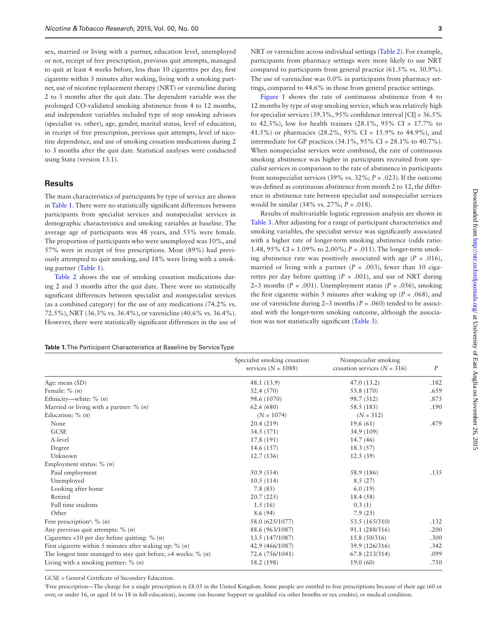sex, married or living with a partner, education level, unemployed or not, receipt of free prescription, previous quit attempts, managed to quit at least 4 weeks before, less than 10 cigarettes per day, first cigarette within 5 minutes after waking, living with a smoking partner, use of nicotine replacement therapy (NRT) or varenicline during 2 to 3 months after the quit date. The dependent variable was the prolonged CO-validated smoking abstinence from 4 to 12 months, and independent variables included type of stop smoking advisors (specialist vs. other), age, gender, marital status, level of education, in receipt of free prescription, previous quit attempts, level of nicotine dependence, and use of smoking cessation medications during 2 to 3 months after the quit date. Statistical analyses were conducted using Stata (version 13.1).

#### **Results**

The main characteristics of participants by type of service are shown in [Table 1](#page-2-0). There were no statistically significant differences between participants from specialist services and nonspecialist services in demographic characteristics and smoking variables at baseline. The average age of participants was 48 years, and 53% were female. The proportion of participants who were unemployed was 10%, and 57% were in receipt of free prescriptions. Most (89%) had previously attempted to quit smoking, and 18% were living with a smoking partner ([Table 1](#page-2-0)).

Table 2 shows the use of smoking cessation medications during 2 and 3 months after the quit date. There were no statistically significant differences between specialist and nonspecialist services (as a combined category) for the use of any medications (74.2% vs. 72.5%), NRT (36.3% vs. 36.4%), or varenicline (40.6% vs. 36.4%). However, there were statistically significant differences in the use of NRT or varenicline across individual settings [\(Table 2\)](#page-3-0). For example, participants from pharmacy settings were more likely to use NRT compared to participants from general practice (61.5% vs. 30.9%). The use of varenicline was 0.0% in participants from pharmacy settings, compared to 44.6% in those from general practice settings.

Figure 1 shows the rate of continuous abstinence from 4 to 12 months by type of stop smoking service, which was relatively high for specialist services (39.3%, 95% confidence interval  $|CI| = 36.5\%$ to 42.3%), low for health trainers  $(28.1\%, 95\% \text{ CI} = 17.7\% \text{ to }$ 41.5%) or pharmacies (28.2%, 95% CI = 15.9% to 44.9%), and intermediate for GP practices  $(34.1\%, 95\% \text{ CI} = 28.1\% \text{ to } 40.7\%).$ When nonspecialist services were combined, the rate of continuous smoking abstinence was higher in participants recruited from specialist services in comparison to the rate of abstinence in participants from nonspecialist services (39% vs.  $32\%$ ; *P* = .023). If the outcome was defined as continuous abstinence from month 2 to 12, the difference in abstinence rate between specialist and nonspecialist services would be similar (34% vs. 27%; *P* = .018).

Results of multivariable logistic regression analysis are shown in [Table 3.](#page-4-0) After adjusting for a range of participant characteristics and smoking variables, the specialist service was significantly associated with a higher rate of longer-term smoking abstinence (odds ratio: 1.48, 95% CI = 1.09% to 2.00%; *P* = .011). The longer-term smoking abstinence rate was positively associated with age  $(P = .016)$ , married or living with a partner  $(P = .003)$ , fewer than 10 cigarettes per day before quitting  $(P = .001)$ , and use of NRT during 2–3 months ( $P = .001$ ). Unemployment status ( $P = .056$ ), smoking the first cigarette within 5 minutes after waking up ( $P = .068$ ), and use of varenicline during 2–3 months (*P* = .060) tended to be associated with the longer-term smoking outcome, although the association was not statistically significant ([Table 3](#page-4-0)).

#### <span id="page-2-0"></span>**Table 1.** The Participant Characteristics at Baseline by Service Type

|                                                                          | Specialist smoking cessation<br>services ( $N = 1088$ ) | Nonspecialist smoking<br>cessation services ( $N = 316$ ) | $\boldsymbol{P}$ |
|--------------------------------------------------------------------------|---------------------------------------------------------|-----------------------------------------------------------|------------------|
| Age: mean $(SD)$                                                         | 48.1 (13.9)                                             | 47.0(13.2)                                                | .182             |
| Female: $\%$ ( <i>n</i> )                                                | 52.4 (570)                                              | 53.8 (170)                                                | .659             |
| Ethnicity—white: $\%$ ( <i>n</i> )                                       | 98.6 (1070)                                             | 98.7 (312)                                                | .875             |
| Married or living with a partner: $\%$ ( <i>n</i> )                      | 62.6(680)                                               | 58.5 (185)                                                | .190             |
| Education: $\%$ ( <i>n</i> )                                             | $(N = 1074)$                                            | $(N = 312)$                                               |                  |
| None                                                                     | 20.4(219)                                               | 19.6(61)                                                  | .479             |
| <b>GCSE</b>                                                              | 34.5 (371)                                              | 34.9 (109)                                                |                  |
| A-level                                                                  | 17.8 (191)                                              | 14.7(46)                                                  |                  |
| Degree                                                                   | 14.6 (157)                                              | 18.3(57)                                                  |                  |
| Unknown                                                                  | 12.7(136)                                               | 12.5(39)                                                  |                  |
| Employment status: % $(n)$                                               |                                                         |                                                           |                  |
| Paid employment                                                          | 50.9 (554)                                              | 58.9 (186)                                                | .135             |
| Unemployed                                                               | 10.5(114)                                               | 8.5(27)                                                   |                  |
| Looking after home                                                       | 7.8(85)                                                 | 6.0(19)                                                   |                  |
| Retired                                                                  | 20.7(225)                                               | 18.4(58)                                                  |                  |
| Full time students                                                       | 1.5(16)                                                 | 0.3(1)                                                    |                  |
| Other                                                                    | 8.6(94)                                                 | 7.9(25)                                                   |                  |
| Free prescription <sup>a</sup> : $\%$ ( <i>n</i> )                       | 58.0 (625/1077)                                         | 53.5 (165/310)                                            | .132             |
| Any previous quit attempts: $\%$ ( <i>n</i> )                            | 88.6 (963/1087)                                         | 91.1 (288/316)                                            | .200             |
| Cigarettes <10 per day before quitting: $\%$ ( <i>n</i> )                | 13.5 (147/1087)                                         | 15.8 (50/316)                                             | .300             |
| First cigarette within 5 minutes after waking up: $\%$ ( <i>n</i> )      | 42.9 (466/1087)                                         | 39.9 (126/316)                                            | .342             |
| The longest time managed to stay quit before, $>4$ weeks: % ( <i>n</i> ) | 72.6 (756/1041)                                         | 67.8 (213/314)                                            | .099             |
| Living with a smoking partner: $\%$ ( <i>n</i> )                         | 18.2 (198)                                              | 19.0(60)                                                  | .750             |

GCSE = General Certificate of Secondary Education.

a Free prescription—The charge for a single prescription is £8.05 in the United Kingdom. Some people are entitled to free prescriptions because of their age (60 or over, or under 16, or aged 16 to 18 in full-education), income (on Income Support or qualified via other benefits or tax credits), or medical condition.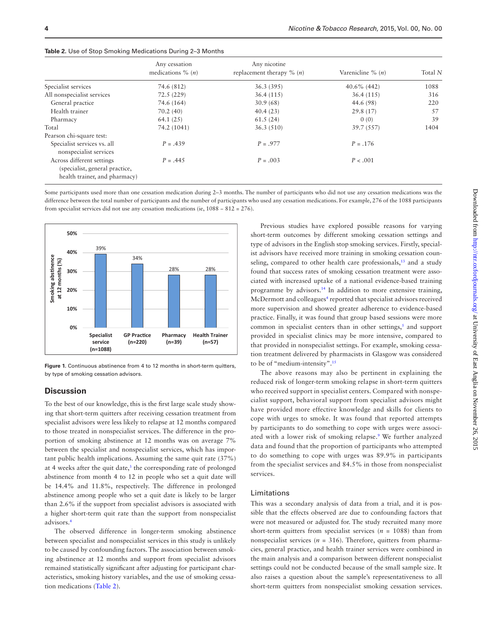|                                                                                              | Any cessation<br>medications $\%$ ( <i>n</i> ) | Any nicotine<br>replacement therapy $\%$ ( <i>n</i> ) | Varenicline % $(n)$ | Total N |
|----------------------------------------------------------------------------------------------|------------------------------------------------|-------------------------------------------------------|---------------------|---------|
| Specialist services                                                                          | 74.6 (812)                                     | 36.3(395)                                             | $40.6\%$ (442)      | 1088    |
| All nonspecialist services                                                                   | 72.5(229)                                      | 36.4(115)                                             | 36.4(115)           | 316     |
| General practice                                                                             | 74.6 (164)                                     | 30.9(68)                                              | 44.6 (98)           | 220     |
| Health trainer                                                                               | 70.2(40)                                       | 40.4(23)                                              | 29.8(17)            | 57      |
| Pharmacy                                                                                     | 64.1(25)                                       | 61.5(24)                                              | 0(0)                | 39      |
| Total                                                                                        | 74.2 (1041)                                    | 36.3(510)                                             | 39.7 (557)          | 1404    |
| Pearson chi-square test:                                                                     |                                                |                                                       |                     |         |
| Specialist services vs. all<br>nonspecialist services                                        | $P = .439$                                     | $P = .977$                                            | $P = .176$          |         |
| Across different settings<br>(specialist, general practice,<br>health trainer, and pharmacy) | $P = .445$                                     | $P = .003$                                            | P < .001            |         |

<span id="page-3-0"></span>

Some participants used more than one cessation medication during 2–3 months. The number of participants who did not use any cessation medications was the difference between the total number of participants and the number of participants who used any cessation medications. For example, 276 of the 1088 participants from specialist services did not use any cessation medications (ie, 1088 − 812 = 276).



<span id="page-3-1"></span>**Figure 1.** Continuous abstinence from 4 to 12 months in short-term quitters, by type of smoking cessation advisors.

## **Discussion**

To the best of our knowledge, this is the first large scale study showing that short-term quitters after receiving cessation treatment from specialist advisors were less likely to relapse at 12 months compared to those treated in nonspecialist services. The difference in the proportion of smoking abstinence at 12 months was on average 7% between the specialist and nonspecialist services, which has important public health implications. Assuming the same quit rate (37%) at 4 weeks after the quit date,<sup>3</sup> the corresponding rate of prolonged abstinence from month 4 to 12 in people who set a quit date will be 14.4% and 11.8%, respectively. The difference in prolonged abstinence among people who set a quit date is likely to be larger than 2.6% if the support from specialist advisors is associated with a higher short-term quit rate than the support from nonspecialist advisors[.4](#page-5-3)

The observed difference in longer-term smoking abstinence between specialist and nonspecialist services in this study is unlikely to be caused by confounding factors. The association between smoking abstinence at 12 months and support from specialist advisors remained statistically significant after adjusting for participant characteristics, smoking history variables, and the use of smoking cessation medications ([Table 2](#page-3-0)).

Previous studies have explored possible reasons for varying short-term outcomes by different smoking cessation settings and type of advisors in the English stop smoking services. Firstly, specialist advisors have received more training in smoking cessation counseling, compared to other health care professionals,<sup>13</sup> and a study found that success rates of smoking cessation treatment were associated with increased uptake of a national evidence-based training programme by advisors.[14](#page-5-13) In addition to more extensive training, McDermott and colleagues<sup>[4](#page-5-3)</sup> reported that specialist advisors received more supervision and showed greater adherence to evidence-based practice. Finally, it was found that group based sessions were more common in specialist centers than in other settings, $\frac{s}{s}$  and support provided in specialist clinics may be more intensive, compared to that provided in nonspecialist settings. For example, smoking cessation treatment delivered by pharmacists in Glasgow was considered to be of "medium-intensity"[.15](#page-5-14)

The above reasons may also be pertinent in explaining the reduced risk of longer-term smoking relapse in short-term quitters who received support in specialist centers. Compared with nonspecialist support, behavioral support from specialist advisors might have provided more effective knowledge and skills for clients to cope with urges to smoke. It was found that reported attempts by participants to do something to cope with urges were associ-ated with a lower risk of smoking relapse.<sup>[9](#page-5-8)</sup> We further analyzed data and found that the proportion of participants who attempted to do something to cope with urges was 89.9% in participants from the specialist services and 84.5% in those from nonspecialist services.

#### Limitations

This was a secondary analysis of data from a trial, and it is possible that the effects observed are due to confounding factors that were not measured or adjusted for. The study recruited many more short-term quitters from specialist services ( $n = 1088$ ) than from nonspecialist services (*n* = 316). Therefore, quitters from pharmacies, general practice, and health trainer services were combined in the main analysis and a comparison between different nonspecialist settings could not be conducted because of the small sample size. It also raises a question about the sample's representativeness to all short-term quitters from nonspecialist smoking cessation services.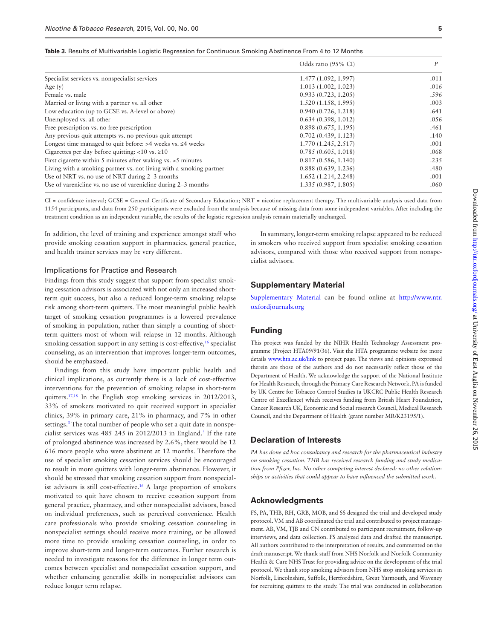<span id="page-4-0"></span>

| Table 3. Results of Multivariable Logistic Regression for Continuous Smoking Abstinence From 4 to 12 Months |  |
|-------------------------------------------------------------------------------------------------------------|--|
|-------------------------------------------------------------------------------------------------------------|--|

|                                                                     | Odds ratio (95% CI)  | P    |
|---------------------------------------------------------------------|----------------------|------|
| Specialist services vs. nonspecialist services                      | 1.477 (1.092, 1.997) | .011 |
| Age $(y)$                                                           | 1.013(1.002, 1.023)  | .016 |
| Female vs. male                                                     | 0.933(0.723, 1.205)  | .596 |
| Married or living with a partner vs. all other                      | 1.520 (1.158, 1.995) | .003 |
| Low education (up to GCSE vs. A-level or above)                     | 0.940(0.726, 1.218)  | .641 |
| Unemployed vs. all other                                            | 0.634(0.398, 1.012)  | .056 |
| Free prescription vs. no free prescription                          | 0.898(0.675, 1.195)  | .461 |
| Any previous quit attempts vs. no previous quit attempt             | 0.702(0.439, 1.123)  | .140 |
| Longest time managed to quit before: $>4$ weeks vs. $\leq 4$ weeks  | 1.770 (1.245, 2.517) | .001 |
| Cigarettes per day before quitting: <10 vs. $\geq 10$               | 0.785(0.605, 1.018)  | .068 |
| First cigarette within 5 minutes after waking $vs. > 5$ minutes     | 0.817(0.586, 1.140)  | .235 |
| Living with a smoking partner vs. not living with a smoking partner | 0.888(0.639, 1.236)  | .480 |
| Use of NRT vs. no use of NRT during 2–3 months                      | 1.652 (1.214, 2.248) | .001 |
| Use of varenicline vs. no use of varenicline during 2–3 months      | 1.335 (0.987, 1.805) | .060 |

CI = confidence interval; GCSE = General Certificate of Secondary Education; NRT = nicotine replacement therapy. The multivariable analysis used data from 1154 participants, and data from 250 participants were excluded from the analysis because of missing data from some independent variables. After including the treatment condition as an independent variable, the results of the logistic regression analysis remain materially unchanged.

In addition, the level of training and experience amongst staff who provide smoking cessation support in pharmacies, general practice, and health trainer services may be very different.

#### Implications for Practice and Research

Findings from this study suggest that support from specialist smoking cessation advisors is associated with not only an increased shortterm quit success, but also a reduced longer-term smoking relapse risk among short-term quitters. The most meaningful public health target of smoking cessation programmes is a lowered prevalence of smoking in population, rather than simply a counting of shortterm quitters most of whom will relapse in 12 months. Although smoking cessation support in any setting is cost-effective,<sup>16</sup> specialist counseling, as an intervention that improves longer-term outcomes, should be emphasized.

Findings from this study have important public health and clinical implications, as currently there is a lack of cost-effective interventions for the prevention of smoking relapse in short-term quitters[.17,](#page-5-16)[18](#page-5-17) In the English stop smoking services in 2012/2013, 33% of smokers motivated to quit received support in specialist clinics, 39% in primary care, 21% in pharmacy, and 7% in other settings.<sup>[3](#page-5-2)</sup> The total number of people who set a quit date in nonspecialist services was  $485$  245 in 2012/201[3](#page-5-2) in England.<sup>3</sup> If the rate of prolonged abstinence was increased by 2.6%, there would be 12 616 more people who were abstinent at 12 months. Therefore the use of specialist smoking cessation services should be encouraged to result in more quitters with longer-term abstinence. However, it should be stressed that smoking cessation support from nonspecialist advisors is still cost-effective.<sup>16</sup> A large proportion of smokers motivated to quit have chosen to receive cessation support from general practice, pharmacy, and other nonspecialist advisors, based on individual preferences, such as perceived convenience. Health care professionals who provide smoking cessation counseling in nonspecialist settings should receive more training, or be allowed more time to provide smoking cessation counseling, in order to improve short-term and longer-term outcomes. Further research is needed to investigate reasons for the difference in longer term outcomes between specialist and nonspecialist cessation support, and whether enhancing generalist skills in nonspecialist advisors can reduce longer term relapse.

In summary, longer-term smoking relapse appeared to be reduced in smokers who received support from specialist smoking cessation advisors, compared with those who received support from nonspecialist advisors.

## **Supplementary Material**

[Supplementary Material](http://ntr.oxfordjournals.org/lookup/suppl/doi:10.1093/ntr/ntv148/-/DC1) can be found online at [http://www.ntr.](http://ntr.oxfordjournals.org/lookup/suppl/doi:10.1093/ntr/ntv148/-/DC1) [oxfordjournals.org](http://ntr.oxfordjournals.org/lookup/suppl/doi:10.1093/ntr/ntv148/-/DC1)

#### **Funding**

This project was funded by the NIHR Health Technology Assessment programme (Project HTA09/91/36). Visit the HTA programme website for more details [www.hta.ac.uk/link](http://www.hta.ac.uk/link) to project page. The views and opinions expressed therein are those of the authors and do not necessarily reflect those of the Department of Health. We acknowledge the support of the National Institute for Health Research, through the Primary Care Research Network. PA is funded by UK Centre for Tobacco Control Studies (a UKCRC Public Health Research Centre of Excellence) which receives funding from British Heart Foundation, Cancer Research UK, Economic and Social research Council, Medical Research Council, and the Department of Health (grant number MR/K23195/1).

## **Declaration of Interests**

*PA has done ad hoc consultancy and research for the pharmaceutical industry on smoking cessation. THB has received research funding and study medication from Pfizer, Inc. No other competing interest declared; no other relationships or activities that could appear to have influenced the submitted work.*

#### **Acknowledgments**

FS, PA, THB, RH, GRB, MOB, and SS designed the trial and developed study protocol. VM and AB coordinated the trial and contributed to project management. AB, VM, TJB and CN contributed to participant recruitment, follow-up interviews, and data collection. FS analyzed data and drafted the manuscript. All authors contributed to the interpretation of results, and commented on the draft manuscript. We thank staff from NHS Norfolk and Norfolk Community Health & Care NHS Trust for providing advice on the development of the trial protocol. We thank stop smoking advisors from NHS stop smoking services in Norfolk, Lincolnshire, Suffolk, Hertfordshire, Great Yarmouth, and Waveney for recruiting quitters to the study. The trial was conducted in collaboration